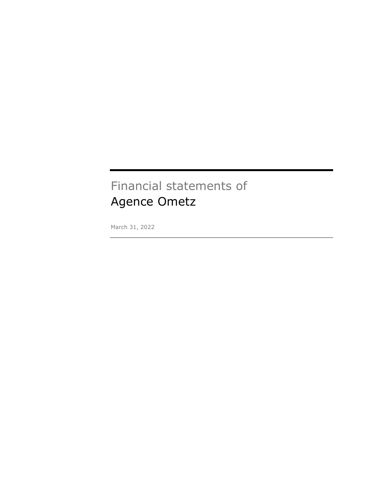# Financial statements of Agence Ometz

March 31, 2022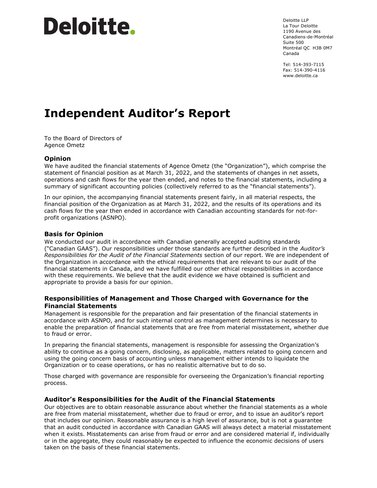# Deloitte.

Deloitte LLP La Tour Deloitte 1190 Avenue des Canadiens-de-Montréal Suite 500 Montréal QC H3B 0M7 Canada

Tel: 514-393-7115 Fax: 514-390-4116 www.deloitte.ca

# Independent Auditor's Report

To the Board of Directors of Agence Ometz

# Opinion

We have audited the financial statements of Agence Ometz (the "Organization"), which comprise the statement of financial position as at March 31, 2022, and the statements of changes in net assets, operations and cash flows for the year then ended, and notes to the financial statements, including a summary of significant accounting policies (collectively referred to as the "financial statements").

In our opinion, the accompanying financial statements present fairly, in all material respects, the financial position of the Organization as at March 31, 2022, and the results of its operations and its cash flows for the year then ended in accordance with Canadian accounting standards for not-forprofit organizations (ASNPO).

# Basis for Opinion

We conducted our audit in accordance with Canadian generally accepted auditing standards ("Canadian GAAS"). Our responsibilities under those standards are further described in the Auditor's Responsibilities for the Audit of the Financial Statements section of our report. We are independent of the Organization in accordance with the ethical requirements that are relevant to our audit of the financial statements in Canada, and we have fulfilled our other ethical responsibilities in accordance with these requirements. We believe that the audit evidence we have obtained is sufficient and appropriate to provide a basis for our opinion.

# Responsibilities of Management and Those Charged with Governance for the Financial Statements

Management is responsible for the preparation and fair presentation of the financial statements in accordance with ASNPO, and for such internal control as management determines is necessary to enable the preparation of financial statements that are free from material misstatement, whether due to fraud or error.

In preparing the financial statements, management is responsible for assessing the Organization's ability to continue as a going concern, disclosing, as applicable, matters related to going concern and using the going concern basis of accounting unless management either intends to liquidate the Organization or to cease operations, or has no realistic alternative but to do so.

Those charged with governance are responsible for overseeing the Organization's financial reporting process.

#### Auditor's Responsibilities for the Audit of the Financial Statements

Our objectives are to obtain reasonable assurance about whether the financial statements as a whole are free from material misstatement, whether due to fraud or error, and to issue an auditor's report that includes our opinion. Reasonable assurance is a high level of assurance, but is not a guarantee that an audit conducted in accordance with Canadian GAAS will always detect a material misstatement when it exists. Misstatements can arise from fraud or error and are considered material if, individually or in the aggregate, they could reasonably be expected to influence the economic decisions of users taken on the basis of these financial statements.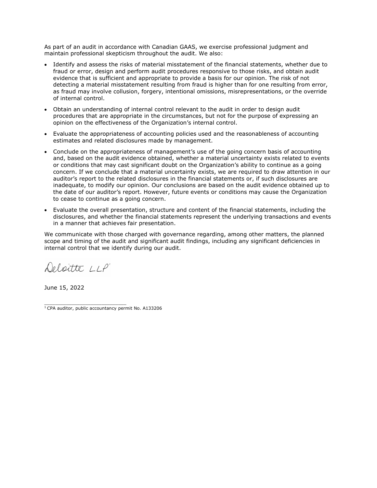As part of an audit in accordance with Canadian GAAS, we exercise professional judgment and maintain professional skepticism throughout the audit. We also:

- Identify and assess the risks of material misstatement of the financial statements, whether due to fraud or error, design and perform audit procedures responsive to those risks, and obtain audit evidence that is sufficient and appropriate to provide a basis for our opinion. The risk of not detecting a material misstatement resulting from fraud is higher than for one resulting from error, as fraud may involve collusion, forgery, intentional omissions, misrepresentations, or the override of internal control.
- Obtain an understanding of internal control relevant to the audit in order to design audit procedures that are appropriate in the circumstances, but not for the purpose of expressing an opinion on the effectiveness of the Organization's internal control.
- Evaluate the appropriateness of accounting policies used and the reasonableness of accounting estimates and related disclosures made by management.
- Conclude on the appropriateness of management's use of the going concern basis of accounting and, based on the audit evidence obtained, whether a material uncertainty exists related to events or conditions that may cast significant doubt on the Organization's ability to continue as a going concern. If we conclude that a material uncertainty exists, we are required to draw attention in our auditor's report to the related disclosures in the financial statements or, if such disclosures are inadequate, to modify our opinion. Our conclusions are based on the audit evidence obtained up to the date of our auditor's report. However, future events or conditions may cause the Organization to cease to continue as a going concern.
- Evaluate the overall presentation, structure and content of the financial statements, including the disclosures, and whether the financial statements represent the underlying transactions and events in a manner that achieves fair presentation.

We communicate with those charged with governance regarding, among other matters, the planned scope and timing of the audit and significant audit findings, including any significant deficiencies in internal control that we identify during our audit.

Deloitte LLP

June 15, 2022

\_\_\_\_\_\_\_\_\_\_\_\_\_\_\_\_\_\_\_\_\_\_\_\_\_\_\_\_\_\_ 1 CPA auditor, public accountancy permit No. A133206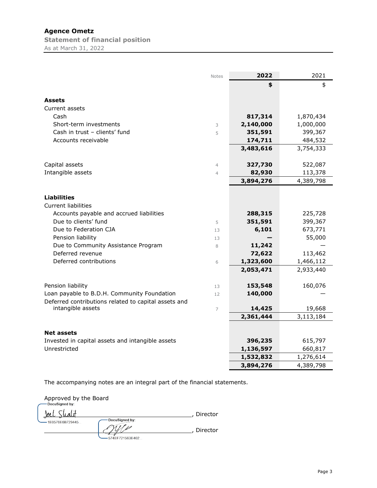# **Agence Ometz**

**Statement of financial position** As at March 31, 2022

|                                                      | Notes          | 2022      | 2021      |
|------------------------------------------------------|----------------|-----------|-----------|
|                                                      |                | \$        | \$        |
|                                                      |                |           |           |
| <b>Assets</b>                                        |                |           |           |
| Current assets                                       |                |           |           |
| Cash                                                 |                | 817,314   | 1,870,434 |
| Short-term investments                               | 3              | 2,140,000 | 1,000,000 |
| Cash in trust - clients' fund                        | 5              | 351,591   | 399,367   |
| Accounts receivable                                  |                | 174,711   | 484,532   |
|                                                      |                | 3,483,616 | 3,754,333 |
| Capital assets                                       | $\overline{4}$ | 327,730   | 522,087   |
| Intangible assets                                    | $\overline{4}$ | 82,930    | 113,378   |
|                                                      |                | 3,894,276 | 4,389,798 |
|                                                      |                |           |           |
| <b>Liabilities</b>                                   |                |           |           |
| <b>Current liabilities</b>                           |                |           |           |
| Accounts payable and accrued liabilities             |                | 288,315   | 225,728   |
| Due to clients' fund                                 | 5              | 351,591   | 399,367   |
| Due to Federation CJA                                | 13             | 6,101     | 673,771   |
| Pension liability                                    | 13             |           | 55,000    |
| Due to Community Assistance Program                  | 8              | 11,242    |           |
| Deferred revenue                                     |                | 72,622    | 113,462   |
| Deferred contributions                               | 6              | 1,323,600 | 1,466,112 |
|                                                      |                | 2,053,471 | 2,933,440 |
|                                                      |                |           |           |
| Pension liability                                    | 13             | 153,548   | 160,076   |
| Loan payable to B.D.H. Community Foundation          | 12             | 140,000   |           |
| Deferred contributions related to capital assets and |                |           |           |
| intangible assets                                    | 7              | 14,425    | 19,668    |
|                                                      |                | 2,361,444 | 3,113,184 |
|                                                      |                |           |           |
| <b>Net assets</b>                                    |                |           |           |
| Invested in capital assets and intangible assets     |                | 396,235   | 615,797   |
| Unrestricted                                         |                | 1,136,597 | 660,817   |
|                                                      |                | 1,532,832 | 1,276,614 |
|                                                      |                | 3,894,276 | 4,389,798 |

Approved by the Board<br>
- DocuSigned by: Joel Shalit , Director DocuSigned by: -<br>1E0576E6B729445... r p Director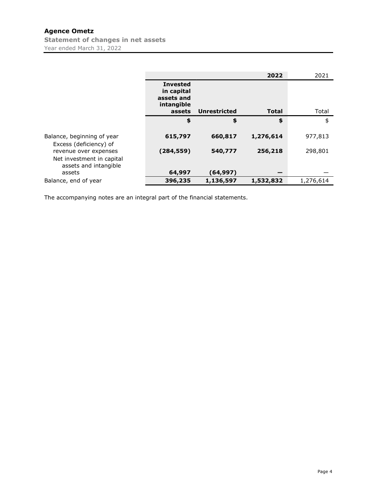# Agence Ometz

Statement of changes in net assets Year ended March 31, 2022

|                                                      |                               |                     | 2022         | 2021      |
|------------------------------------------------------|-------------------------------|---------------------|--------------|-----------|
|                                                      | <b>Invested</b><br>in capital |                     |              |           |
|                                                      | assets and<br>intangible      |                     |              |           |
|                                                      | assets                        | <b>Unrestricted</b> | <b>Total</b> | Total     |
|                                                      | \$                            | \$                  | \$           | \$        |
| Balance, beginning of year<br>Excess (deficiency) of | 615,797                       | 660,817             | 1,276,614    | 977,813   |
| revenue over expenses                                | (284, 559)                    | 540,777             | 256,218      | 298,801   |
| Net investment in capital<br>assets and intangible   |                               |                     |              |           |
| assets                                               | 64,997                        | (64, 997)           |              |           |
| Balance, end of year                                 | 396,235                       | 1,136,597           | 1,532,832    | 1,276,614 |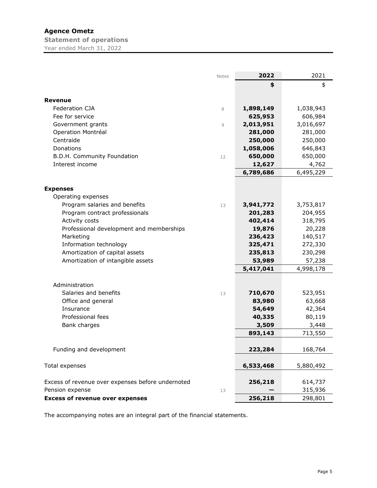# Agence Ometz Statement of operations Year ended March 31, 2022

|                                                   | <b>Notes</b> | 2022      | 2021      |
|---------------------------------------------------|--------------|-----------|-----------|
|                                                   |              | \$        | \$        |
|                                                   |              |           |           |
| <b>Revenue</b>                                    |              |           |           |
| <b>Federation CJA</b>                             | 8            | 1,898,149 | 1,038,943 |
| Fee for service                                   |              | 625,953   | 606,984   |
| Government grants                                 | 9            | 2,013,951 | 3,016,697 |
| Operation Montréal                                |              | 281,000   | 281,000   |
| Centraide                                         |              | 250,000   | 250,000   |
| Donations                                         |              | 1,058,006 | 646,843   |
| B.D.H. Community Foundation                       | 12           | 650,000   | 650,000   |
| Interest income                                   |              | 12,627    | 4,762     |
|                                                   |              | 6,789,686 | 6,495,229 |
|                                                   |              |           |           |
| <b>Expenses</b>                                   |              |           |           |
| Operating expenses                                |              |           |           |
| Program salaries and benefits                     | 13           | 3,941,772 | 3,753,817 |
| Program contract professionals                    |              | 201,283   | 204,955   |
| Activity costs                                    |              | 402,414   | 318,795   |
| Professional development and memberships          |              | 19,876    | 20,228    |
| Marketing                                         |              | 236,423   | 140,517   |
| Information technology                            |              | 325,471   | 272,330   |
| Amortization of capital assets                    |              | 235,813   | 230,298   |
| Amortization of intangible assets                 |              | 53,989    | 57,238    |
|                                                   |              | 5,417,041 | 4,998,178 |
|                                                   |              |           |           |
| Administration                                    |              |           |           |
| Salaries and benefits                             | 13           | 710,670   | 523,951   |
| Office and general                                |              | 83,980    | 63,668    |
| Insurance<br>Professional fees                    |              | 54,649    | 42,364    |
|                                                   |              | 40,335    | 80,119    |
| Bank charges                                      |              | 3,509     | 3,448     |
|                                                   |              | 893,143   | 713,550   |
|                                                   |              |           |           |
| Funding and development                           |              | 223,284   | 168,764   |
| Total expenses                                    |              | 6,533,468 | 5,880,492 |
|                                                   |              |           |           |
| Excess of revenue over expenses before undernoted |              | 256,218   | 614,737   |
| Pension expense                                   | 13           |           | 315,936   |
| <b>Excess of revenue over expenses</b>            |              | 256,218   | 298,801   |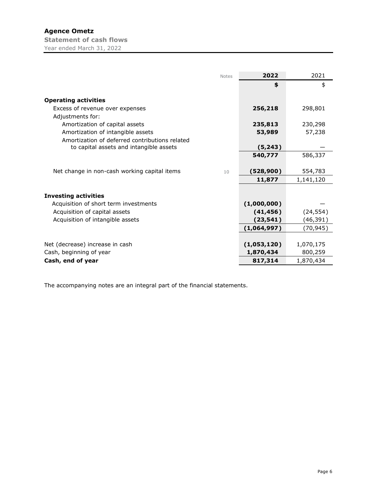| <b>Notes</b>                                       | 2022        | 2021      |
|----------------------------------------------------|-------------|-----------|
|                                                    | \$          | \$        |
|                                                    |             |           |
| <b>Operating activities</b>                        |             |           |
| Excess of revenue over expenses                    | 256,218     | 298,801   |
| Adjustments for:                                   |             |           |
| Amortization of capital assets                     | 235,813     | 230,298   |
| Amortization of intangible assets                  | 53,989      | 57,238    |
| Amortization of deferred contributions related     |             |           |
| to capital assets and intangible assets            | (5, 243)    |           |
|                                                    | 540,777     | 586,337   |
|                                                    |             |           |
| Net change in non-cash working capital items<br>10 | (528,900)   | 554,783   |
|                                                    | 11,877      | 1,141,120 |
|                                                    |             |           |
| <b>Investing activities</b>                        |             |           |
| Acquisition of short term investments              | (1,000,000) |           |
| Acquisition of capital assets                      | (41, 456)   | (24, 554) |
| Acquisition of intangible assets                   | (23, 541)   | (46,391)  |
|                                                    | (1,064,997) | (70,945)  |
|                                                    |             |           |
| Net (decrease) increase in cash                    | (1,053,120) | 1,070,175 |
| Cash, beginning of year                            | 1,870,434   | 800,259   |
| Cash, end of year                                  | 817,314     | 1,870,434 |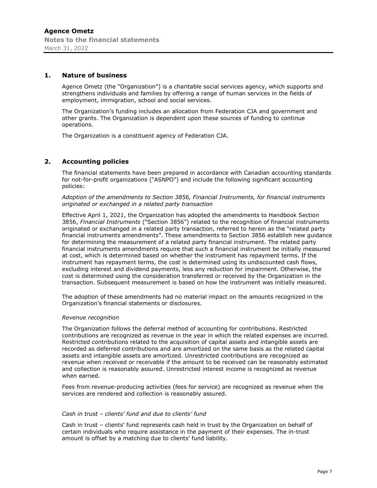# 1. Nature of business

Agence Ometz (the "Organization") is a charitable social services agency, which supports and strengthens individuals and families by offering a range of human services in the fields of employment, immigration, school and social services.

The Organization's funding includes an allocation from Federation CJA and government and other grants. The Organization is dependent upon these sources of funding to continue operations.

The Organization is a constituent agency of Federation CJA.

# 2. Accounting policies

The financial statements have been prepared in accordance with Canadian accounting standards for not-for-profit organizations ("ASNPO") and include the following significant accounting policies:

Adoption of the amendments to Section 3856, Financial Instruments, for financial instruments originated or exchanged in a related party transaction

Effective April 1, 2021, the Organization has adopted the amendments to Handbook Section 3856, Financial Instruments ("Section 3856") related to the recognition of financial instruments originated or exchanged in a related party transaction, referred to herein as the "related party financial instruments amendments". These amendments to Section 3856 establish new guidance for determining the measurement of a related party financial instrument. The related party financial instruments amendments require that such a financial instrument be initially measured at cost, which is determined based on whether the instrument has repayment terms. If the instrument has repayment terms, the cost is determined using its undiscounted cash flows, excluding interest and dividend payments, less any reduction for impairment. Otherwise, the cost is determined using the consideration transferred or received by the Organization in the transaction. Subsequent measurement is based on how the instrument was initially measured.

The adoption of these amendments had no material impact on the amounts recognized in the Organization's financial statements or disclosures.

#### Revenue recognition

The Organization follows the deferral method of accounting for contributions. Restricted contributions are recognized as revenue in the year in which the related expenses are incurred. Restricted contributions related to the acquisition of capital assets and intangible assets are recorded as deferred contributions and are amortized on the same basis as the related capital assets and intangible assets are amortized. Unrestricted contributions are recognized as revenue when received or receivable if the amount to be received can be reasonably estimated and collection is reasonably assured. Unrestricted interest income is recognized as revenue when earned.

Fees from revenue-producing activities (fees for service) are recognized as revenue when the services are rendered and collection is reasonably assured.

#### Cash in trust – clients' fund and due to clients' fund

Cash in trust – clients' fund represents cash held in trust by the Organization on behalf of certain individuals who require assistance in the payment of their expenses. The in-trust amount is offset by a matching due to clients' fund liability.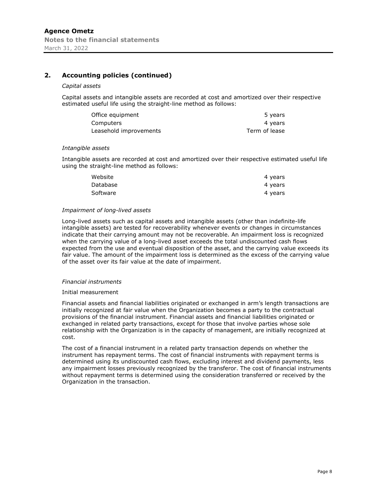# 2. Accounting policies (continued)

#### Capital assets

Capital assets and intangible assets are recorded at cost and amortized over their respective estimated useful life using the straight-line method as follows:

| Office equipment       | 5 years       |
|------------------------|---------------|
| Computers              | 4 years       |
| Leasehold improvements | Term of lease |

#### Intangible assets

Intangible assets are recorded at cost and amortized over their respective estimated useful life using the straight-line method as follows:

| Website  | 4 years |
|----------|---------|
| Database | 4 years |
| Software | 4 years |

#### Impairment of long-lived assets

Long-lived assets such as capital assets and intangible assets (other than indefinite-life intangible assets) are tested for recoverability whenever events or changes in circumstances indicate that their carrying amount may not be recoverable. An impairment loss is recognized when the carrying value of a long-lived asset exceeds the total undiscounted cash flows expected from the use and eventual disposition of the asset, and the carrying value exceeds its fair value. The amount of the impairment loss is determined as the excess of the carrying value of the asset over its fair value at the date of impairment.

#### Financial instruments

#### Initial measurement

Financial assets and financial liabilities originated or exchanged in arm's length transactions are initially recognized at fair value when the Organization becomes a party to the contractual provisions of the financial instrument. Financial assets and financial liabilities originated or exchanged in related party transactions, except for those that involve parties whose sole relationship with the Organization is in the capacity of management, are initially recognized at cost.

The cost of a financial instrument in a related party transaction depends on whether the instrument has repayment terms. The cost of financial instruments with repayment terms is determined using its undiscounted cash flows, excluding interest and dividend payments, less any impairment losses previously recognized by the transferor. The cost of financial instruments without repayment terms is determined using the consideration transferred or received by the Organization in the transaction.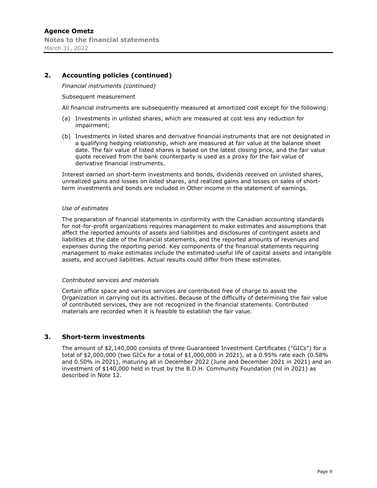# 2. Accounting policies (continued)

Financial instruments (continued)

#### Subsequent measurement

All financial instruments are subsequently measured at amortized cost except for the following:

- (a) Investments in unlisted shares, which are measured at cost less any reduction for impairment;
- (b) Investments in listed shares and derivative financial instruments that are not designated in a qualifying hedging relationship, which are measured at fair value at the balance sheet date. The fair value of listed shares is based on the latest closing price, and the fair value quote received from the bank counterparty is used as a proxy for the fair value of derivative financial instruments.

Interest earned on short-term investments and bonds, dividends received on unlisted shares, unrealized gains and losses on listed shares, and realized gains and losses on sales of shortterm investments and bonds are included in Other income in the statement of earnings.

#### Use of estimates

The preparation of financial statements in conformity with the Canadian accounting standards for not-for-profit organizations requires management to make estimates and assumptions that affect the reported amounts of assets and liabilities and disclosures of contingent assets and liabilities at the date of the financial statements, and the reported amounts of revenues and expenses during the reporting period. Key components of the financial statements requiring management to make estimates include the estimated useful life of capital assets and intangible assets, and accrued liabilities. Actual results could differ from these estimates.

#### Contributed services and materials

Certain office space and various services are contributed free of charge to assist the Organization in carrying out its activities. Because of the difficulty of determining the fair value of contributed services, they are not recognized in the financial statements. Contributed materials are recorded when it is feasible to establish the fair value.

#### 3. Short-term investments

The amount of \$2,140,000 consists of three Guaranteed Investment Certificates ("GICs") for a total of \$2,000,000 (two GICs for a total of \$1,000,000 in 2021), at a 0.95% rate each (0.58% and 0.50% in 2021), maturing all in December 2022 (June and December 2021 in 2021) and an investment of \$140,000 held in trust by the B.D.H. Community Foundation (nil in 2021) as described in Note 12.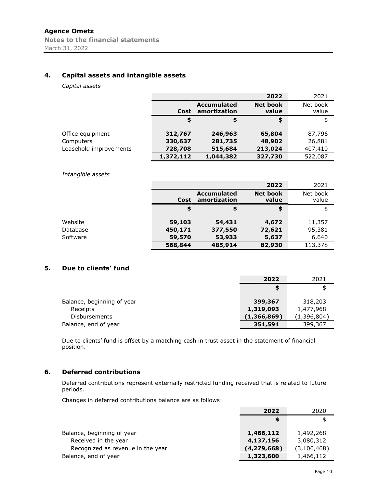# 4. Capital assets and intangible assets

## Capital assets

|                        |           |                                    | 2022                     | 2021              |
|------------------------|-----------|------------------------------------|--------------------------|-------------------|
|                        | Cost      | <b>Accumulated</b><br>amortization | <b>Net book</b><br>value | Net book<br>value |
|                        | \$        |                                    | \$                       | \$                |
| Office equipment       | 312,767   | 246,963                            | 65,804                   | 87,796            |
| Computers              | 330,637   | 281,735                            | 48,902                   | 26,881            |
| Leasehold improvements | 728,708   | 515,684                            | 213,024                  | 407,410           |
|                        | 1,372,112 | 1,044,382                          | 327,730                  | 522,087           |

#### Intangible assets

|          |         |                                    | 2022                     | 2021              |
|----------|---------|------------------------------------|--------------------------|-------------------|
|          | Cost    | <b>Accumulated</b><br>amortization | <b>Net book</b><br>value | Net book<br>value |
|          | \$      |                                    | \$                       | \$                |
| Website  | 59,103  | 54,431                             | 4,672                    | 11,357            |
| Database | 450,171 | 377,550                            | 72,621                   | 95,381            |
| Software | 59,570  | 53,933                             | 5,637                    | 6,640             |
|          | 568,844 | 485,914                            | 82,930                   | 113,378           |

# 5. Due to clients' fund

|                            | 2022        | 2021        |
|----------------------------|-------------|-------------|
|                            | \$          | \$          |
| Balance, beginning of year | 399,367     | 318,203     |
| Receipts                   | 1,319,093   | 1,477,968   |
| <b>Disbursements</b>       | (1,366,869) | (1,396,804) |
| Balance, end of year       | 351,591     | 399,367     |

Due to clients' fund is offset by a matching cash in trust asset in the statement of financial position.

### 6. Deferred contributions

Deferred contributions represent externally restricted funding received that is related to future periods.

Changes in deferred contributions balance are as follows:

|                                   | 2022        | 2020          |
|-----------------------------------|-------------|---------------|
|                                   | S           |               |
| Balance, beginning of year        | 1,466,112   | 1,492,268     |
| Received in the year              | 4,137,156   | 3,080,312     |
| Recognized as revenue in the year | (4,279,668) | (3, 106, 468) |
| Balance, end of year              | 1,323,600   | 1,466,112     |
|                                   |             |               |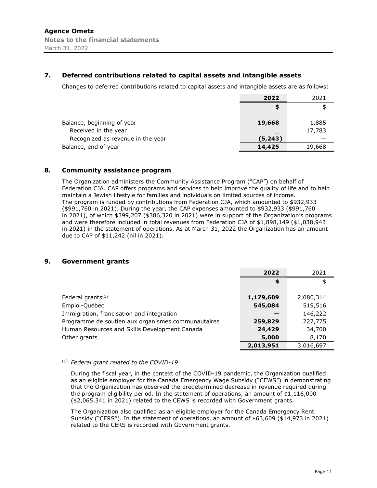# 7. Deferred contributions related to capital assets and intangible assets

Changes to deferred contributions related to capital assets and intangible assets are as follows:

|                                   | 2022    | 2021   |
|-----------------------------------|---------|--------|
|                                   | S       |        |
|                                   |         |        |
| Balance, beginning of year        | 19,668  | 1,885  |
| Received in the year              |         | 17,783 |
| Recognized as revenue in the year | (5,243) |        |
| Balance, end of year              | 14,425  | 19,668 |

# 8. Community assistance program

The Organization administers the Community Assistance Program ("CAP") on behalf of Federation CJA. CAP offers programs and services to help improve the quality of life and to help maintain a Jewish lifestyle for families and individuals on limited sources of income. The program is funded by contributions from Federation CJA, which amounted to \$932,933 (\$991,760 in 2021). During the year, the CAP expenses amounted to \$932,933 (\$991,760 in 2021), of which \$399,207 (\$386,320 in 2021) were in support of the Organization's programs and were therefore included in total revenues from Federation CJA of \$1,898,149 (\$1,038,943 in 2021) in the statement of operations. As at March 31, 2022 the Organization has an amount due to CAP of \$11,242 (nil in 2021).

# 9. Government grants

|                                                    | 2022      | 2021      |
|----------------------------------------------------|-----------|-----------|
|                                                    | \$        | \$        |
|                                                    |           |           |
| Federal grants $(1)$                               | 1,179,609 | 2,080,314 |
| Emploi-Québec                                      | 545,084   | 519,516   |
| Immigration, francisation and integration          |           | 146,222   |
| Programme de soutien aux organismes communautaires | 259,829   | 227,775   |
| Human Resources and Skills Development Canada      | 24,429    | 34,700    |
| Other grants                                       | 5,000     | 8,170     |
|                                                    | 2,013,951 | 3,016,697 |

#### (1) Federal grant related to the COVID-19

During the fiscal year, in the context of the COVID-19 pandemic, the Organization qualified as an eligible employer for the Canada Emergency Wage Subsidy ("CEWS") in demonstrating that the Organization has observed the predetermined decrease in revenue required during the program eligibility period. In the statement of operations, an amount of \$1,116,000 (\$2,065,341 in 2021) related to the CEWS is recorded with Government grants.

The Organization also qualified as an eligible employer for the Canada Emergency Rent Subsidy ("CERS"). In the statement of operations, an amount of \$63,609 (\$14,973 in 2021) related to the CERS is recorded with Government grants.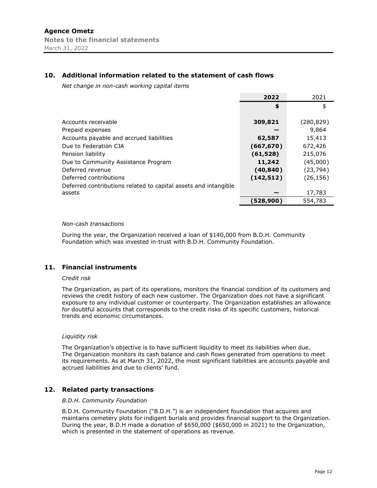# 10. Additional information related to the statement of cash flows

Net change in non-cash working capital items

|                                                                 | 2022       | 2021      |
|-----------------------------------------------------------------|------------|-----------|
|                                                                 | \$         | \$        |
|                                                                 |            |           |
| Accounts receivable                                             | 309,821    | (280,829) |
| Prepaid expenses                                                |            | 9,864     |
| Accounts payable and accrued liabilities                        | 62,587     | 15,413    |
| Due to Federation CJA                                           | (667, 670) | 672,426   |
| Pension liability                                               | (61, 528)  | 215,076   |
| Due to Community Assistance Program                             | 11,242     | (45,000)  |
| Deferred revenue                                                | (40, 840)  | (23, 794) |
| Deferred contributions                                          | (142, 512) | (26,156)  |
| Deferred contributions related to capital assets and intangible |            |           |
| assets                                                          |            | 17,783    |
|                                                                 | (528,900)  | 554,783   |

#### Non-cash transactions

During the year, the Organization received a loan of \$140,000 from B.D.H. Community Foundation which was invested in-trust with B.D.H. Community Foundation.

# 11. Financial instruments

#### Credit risk

The Organization, as part of its operations, monitors the financial condition of its customers and reviews the credit history of each new customer. The Organization does not have a significant exposure to any individual customer or counterparty. The Organization establishes an allowance for doubtful accounts that corresponds to the credit risks of its specific customers, historical trends and economic circumstances.

#### Liquidity risk

The Organization's objective is to have sufficient liquidity to meet its liabilities when due. The Organization monitors its cash balance and cash flows generated from operations to meet its requirements. As at March 31, 2022, the most significant liabilities are accounts payable and accrued liabilities and due to clients' fund.

# 12. Related party transactions

#### B.D.H. Community Foundation

B.D.H. Community Foundation ("B.D.H.") is an independent foundation that acquires and maintains cemetery plots for indigent burials and provides financial support to the Organization. During the year, B.D.H made a donation of \$650,000 (\$650,000 in 2021) to the Organization, which is presented in the statement of operations as revenue.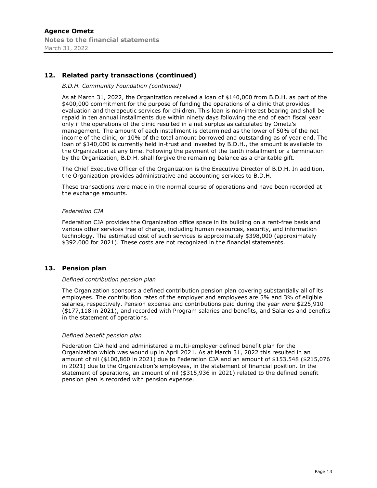# 12. Related party transactions (continued)

B.D.H. Community Foundation (continued)

As at March 31, 2022, the Organization received a loan of \$140,000 from B.D.H. as part of the \$400,000 commitment for the purpose of funding the operations of a clinic that provides evaluation and therapeutic services for children. This loan is non-interest bearing and shall be repaid in ten annual installments due within ninety days following the end of each fiscal year only if the operations of the clinic resulted in a net surplus as calculated by Ometz's management. The amount of each installment is determined as the lower of 50% of the net income of the clinic, or 10% of the total amount borrowed and outstanding as of year end. The loan of \$140,000 is currently held in-trust and invested by B.D.H., the amount is available to the Organization at any time. Following the payment of the tenth installment or a termination by the Organization, B.D.H. shall forgive the remaining balance as a charitable gift.

The Chief Executive Officer of the Organization is the Executive Director of B.D.H. In addition, the Organization provides administrative and accounting services to B.D.H.

These transactions were made in the normal course of operations and have been recorded at the exchange amounts.

#### Federation CJA

Federation CJA provides the Organization office space in its building on a rent-free basis and various other services free of charge, including human resources, security, and information technology. The estimated cost of such services is approximately \$398,000 (approximately \$392,000 for 2021). These costs are not recognized in the financial statements.

#### 13. Pension plan

#### Defined contribution pension plan

The Organization sponsors a defined contribution pension plan covering substantially all of its employees. The contribution rates of the employer and employees are 5% and 3% of eligible salaries, respectively. Pension expense and contributions paid during the year were \$225,910 (\$177,118 in 2021), and recorded with Program salaries and benefits, and Salaries and benefits in the statement of operations.

#### Defined benefit pension plan

Federation CJA held and administered a multi-employer defined benefit plan for the Organization which was wound up in April 2021. As at March 31, 2022 this resulted in an amount of nil (\$100,860 in 2021) due to Federation CJA and an amount of \$153,548 (\$215,076 in 2021) due to the Organization's employees, in the statement of financial position. In the statement of operations, an amount of nil (\$315,936 in 2021) related to the defined benefit pension plan is recorded with pension expense.